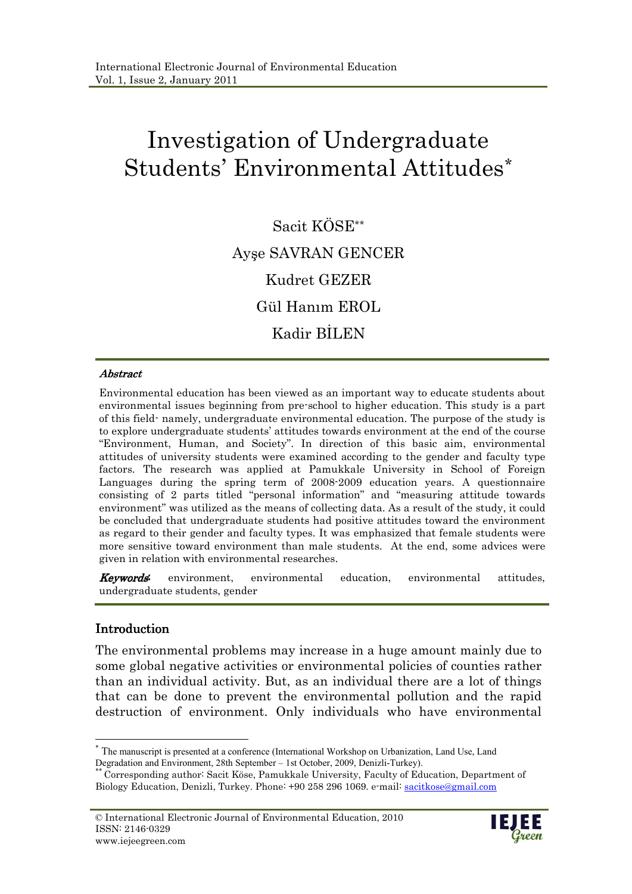# Investigation of Undergraduate Students' Environmental Attitudes\*

Sacit KÖSE\*\* Ayşe SAVRAN GENCER Kudret GEZER Gül Hanım EROL Kadir BILEN

#### Abstract Abstract

Environmental education has been viewed as an important way to educate students about environmental issues beginning from pre-school to higher education. This study is a part of this field- namely, undergraduate environmental education. The purpose of the study is to explore undergraduate students' attitudes towards environment at the end of the course "Environment, Human, and Society". In direction of this basic aim, environmental attitudes of university students were examined according to the gender and faculty type factors. The research was applied at Pamukkale University in School of Foreign Languages during the spring term of 2008-2009 education years. A questionnaire consisting of 2 parts titled "personal information" and "measuring attitude towards environment" was utilized as the means of collecting data. As a result of the study, it could be concluded that undergraduate students had positive attitudes toward the environment as regard to their gender and faculty types. It was emphasized that female students were more sensitive toward environment than male students. At the end, some advices were given in relation with environmental researches.

**Keywords:** environment, environmental education, environmental attitudes, undergraduate students, gender

#### Introduction

The environmental problems may increase in a huge amount mainly due to some global negative activities or environmental policies of counties rather than an individual activity. But, as an individual there are a lot of things that can be done to prevent the environmental pollution and the rapid destruction of environment. Only individuals who have environmental



 $\overline{a}$ \* The manuscript is presented at a conference (International Workshop on Urbanization, Land Use, Land Degradation and Environment, 28th September – 1st October, 2009, Denizli-Turkey).

<sup>\*\*</sup> Corresponding author: Sacit Köse, Pamukkale University, Faculty of Education, Department of Biology Education, Denizli, Turkey. Phone: +90 258 296 1069. e-mail: sacitkose@gmail.com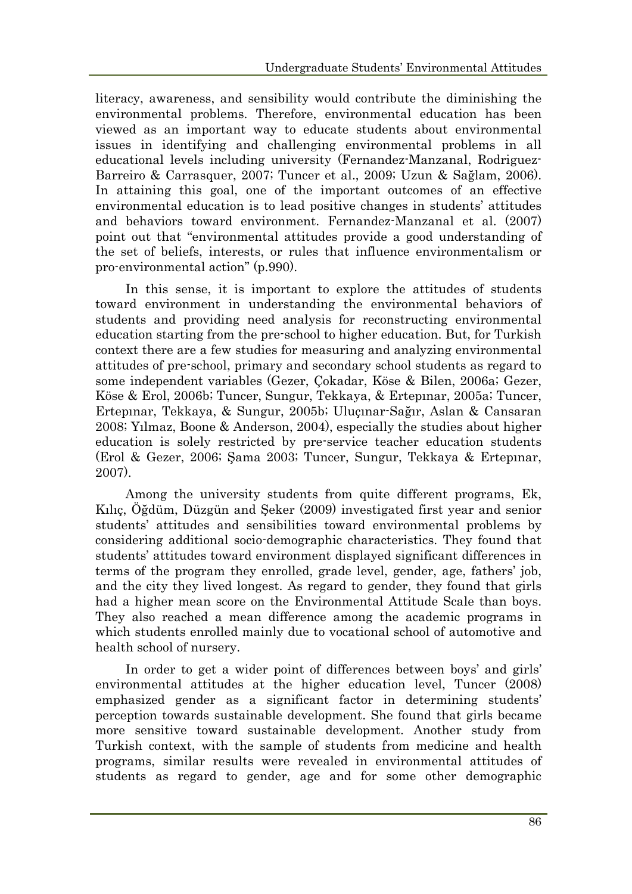literacy, awareness, and sensibility would contribute the diminishing the environmental problems. Therefore, environmental education has been viewed as an important way to educate students about environmental issues in identifying and challenging environmental problems in all educational levels including university (Fernandez-Manzanal, Rodriguez-Barreiro & Carrasquer, 2007; Tuncer et al., 2009; Uzun & Sağlam, 2006). In attaining this goal, one of the important outcomes of an effective environmental education is to lead positive changes in students' attitudes and behaviors toward environment. Fernandez-Manzanal et al. (2007) point out that "environmental attitudes provide a good understanding of the set of beliefs, interests, or rules that influence environmentalism or pro-environmental action" (p.990).

In this sense, it is important to explore the attitudes of students toward environment in understanding the environmental behaviors of students and providing need analysis for reconstructing environmental education starting from the pre-school to higher education. But, for Turkish context there are a few studies for measuring and analyzing environmental attitudes of pre-school, primary and secondary school students as regard to some independent variables (Gezer, Çokadar, Köse & Bilen, 2006a; Gezer, Köse & Erol, 2006b; Tuncer, Sungur, Tekkaya, & Ertepınar, 2005a; Tuncer, Ertepınar, Tekkaya, & Sungur, 2005b; Uluçınar-Sağır, Aslan & Cansaran 2008; Yılmaz, Boone & Anderson, 2004), especially the studies about higher education is solely restricted by pre-service teacher education students (Erol & Gezer, 2006; Şama 2003; Tuncer, Sungur, Tekkaya & Ertepınar, 2007).

Among the university students from quite different programs, Ek, Kılıç, Öğdüm, Düzgün and Şeker (2009) investigated first year and senior students' attitudes and sensibilities toward environmental problems by considering additional socio-demographic characteristics. They found that students' attitudes toward environment displayed significant differences in terms of the program they enrolled, grade level, gender, age, fathers' job, and the city they lived longest. As regard to gender, they found that girls had a higher mean score on the Environmental Attitude Scale than boys. They also reached a mean difference among the academic programs in which students enrolled mainly due to vocational school of automotive and health school of nursery.

In order to get a wider point of differences between boys' and girls' environmental attitudes at the higher education level, Tuncer (2008) emphasized gender as a significant factor in determining students' perception towards sustainable development. She found that girls became more sensitive toward sustainable development. Another study from Turkish context, with the sample of students from medicine and health programs, similar results were revealed in environmental attitudes of students as regard to gender, age and for some other demographic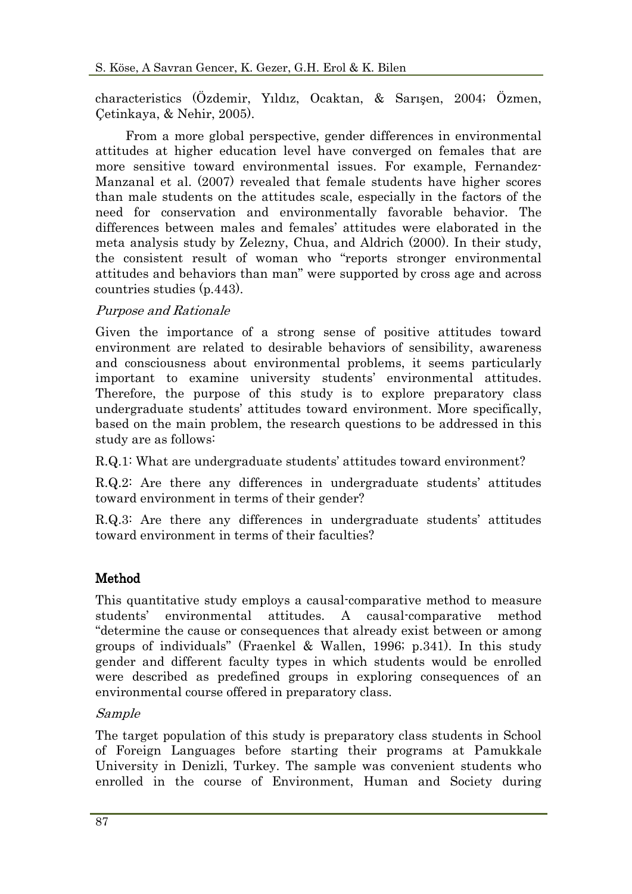characteristics (Özdemir, Yıldız, Ocaktan, & Sarışen, 2004; Özmen, Çetinkaya, & Nehir, 2005).

From a more global perspective, gender differences in environmental attitudes at higher education level have converged on females that are more sensitive toward environmental issues. For example, Fernandez-Manzanal et al. (2007) revealed that female students have higher scores than male students on the attitudes scale, especially in the factors of the need for conservation and environmentally favorable behavior. The differences between males and females' attitudes were elaborated in the meta analysis study by Zelezny, Chua, and Aldrich (2000). In their study, the consistent result of woman who "reports stronger environmental attitudes and behaviors than man" were supported by cross age and across countries studies (p.443).

## Purpose and Rationale

Given the importance of a strong sense of positive attitudes toward environment are related to desirable behaviors of sensibility, awareness and consciousness about environmental problems, it seems particularly important to examine university students' environmental attitudes. Therefore, the purpose of this study is to explore preparatory class undergraduate students' attitudes toward environment. More specifically, based on the main problem, the research questions to be addressed in this study are as follows:

R.Q.1: What are undergraduate students' attitudes toward environment?

R.Q.2: Are there any differences in undergraduate students' attitudes toward environment in terms of their gender?

R.Q.3: Are there any differences in undergraduate students' attitudes toward environment in terms of their faculties?

# Method

This quantitative study employs a causal-comparative method to measure students' environmental attitudes. A causal-comparative method "determine the cause or consequences that already exist between or among groups of individuals" (Fraenkel & Wallen, 1996; p.341). In this study gender and different faculty types in which students would be enrolled were described as predefined groups in exploring consequences of an environmental course offered in preparatory class.

## Sample

The target population of this study is preparatory class students in School of Foreign Languages before starting their programs at Pamukkale University in Denizli, Turkey. The sample was convenient students who enrolled in the course of Environment, Human and Society during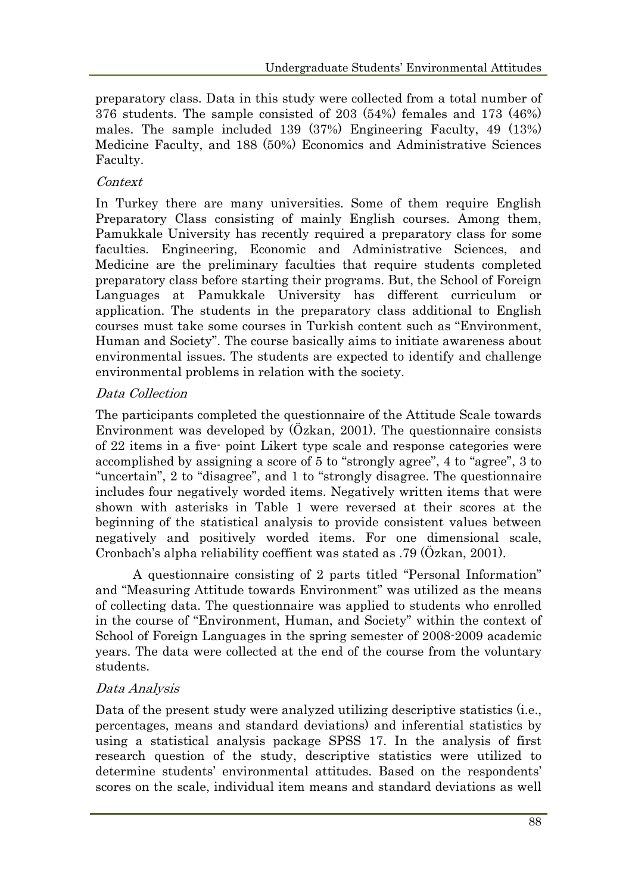preparatory class. Data in this study were collected from a total number of 376 students. The sample consisted of 203 (54%) females and 173 (46%) males. The sample included 139 (37%) Engineering Faculty, 49 (13%) Medicine Faculty, and 188 (50%) Economics and Administrative Sciences Faculty.

## Context

In Turkey there are many universities. Some of them require English Preparatory Class consisting of mainly English courses. Among them, Pamukkale University has recently required a preparatory class for some faculties. Engineering, Economic and Administrative Sciences, and Medicine are the preliminary faculties that require students completed preparatory class before starting their programs. But, the School of Foreign Languages at Pamukkale University has different curriculum or application. The students in the preparatory class additional to English courses must take some courses in Turkish content such as "Environment, Human and Society". The course basically aims to initiate awareness about environmental issues. The students are expected to identify and challenge environmental problems in relation with the society.

# Data Collection

The participants completed the questionnaire of the Attitude Scale towards Environment was developed by (Özkan, 2001). The questionnaire consists of 22 items in a five- point Likert type scale and response categories were accomplished by assigning a score of 5 to "strongly agree", 4 to "agree", 3 to "uncertain", 2 to "disagree", and 1 to "strongly disagree. The questionnaire includes four negatively worded items. Negatively written items that were shown with asterisks in Table 1 were reversed at their scores at the beginning of the statistical analysis to provide consistent values between negatively and positively worded items. For one dimensional scale, Cronbach's alpha reliability coeffient was stated as .79 (Özkan, 2001).

A questionnaire consisting of 2 parts titled "Personal Information" and "Measuring Attitude towards Environment" was utilized as the means of collecting data. The questionnaire was applied to students who enrolled in the course of "Environment, Human, and Society" within the context of School of Foreign Languages in the spring semester of 2008-2009 academic years. The data were collected at the end of the course from the voluntary students.

# Data Analysis

Data of the present study were analyzed utilizing descriptive statistics (i.e., percentages, means and standard deviations) and inferential statistics by using a statistical analysis package SPSS 17. In the analysis of first research question of the study, descriptive statistics were utilized to determine students' environmental attitudes. Based on the respondents' scores on the scale, individual item means and standard deviations as well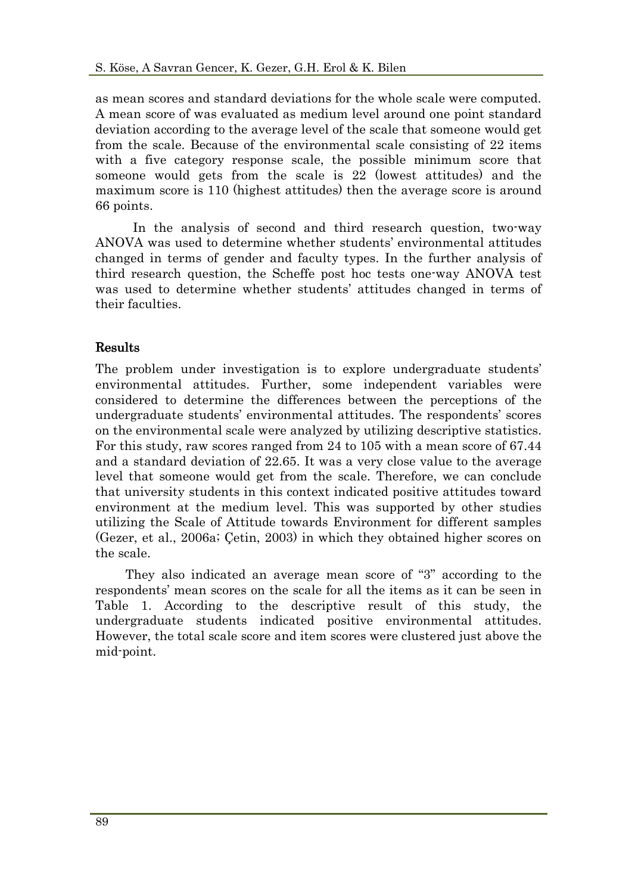as mean scores and standard deviations for the whole scale were computed. A mean score of was evaluated as medium level around one point standard deviation according to the average level of the scale that someone would get from the scale. Because of the environmental scale consisting of 22 items with a five category response scale, the possible minimum score that someone would gets from the scale is 22 (lowest attitudes) and the maximum score is 110 (highest attitudes) then the average score is around 66 points.

In the analysis of second and third research question, two-way ANOVA was used to determine whether students' environmental attitudes changed in terms of gender and faculty types. In the further analysis of third research question, the Scheffe post hoc tests one-way ANOVA test was used to determine whether students' attitudes changed in terms of their faculties.

# Results

The problem under investigation is to explore undergraduate students' environmental attitudes. Further, some independent variables were considered to determine the differences between the perceptions of the undergraduate students' environmental attitudes. The respondents' scores on the environmental scale were analyzed by utilizing descriptive statistics. For this study, raw scores ranged from 24 to 105 with a mean score of 67.44 and a standard deviation of 22.65. It was a very close value to the average level that someone would get from the scale. Therefore, we can conclude that university students in this context indicated positive attitudes toward environment at the medium level. This was supported by other studies utilizing the Scale of Attitude towards Environment for different samples (Gezer, et al., 2006a; Çetin, 2003) in which they obtained higher scores on the scale.

They also indicated an average mean score of "3" according to the respondents' mean scores on the scale for all the items as it can be seen in Table 1. According to the descriptive result of this study, the undergraduate students indicated positive environmental attitudes. However, the total scale score and item scores were clustered just above the mid-point.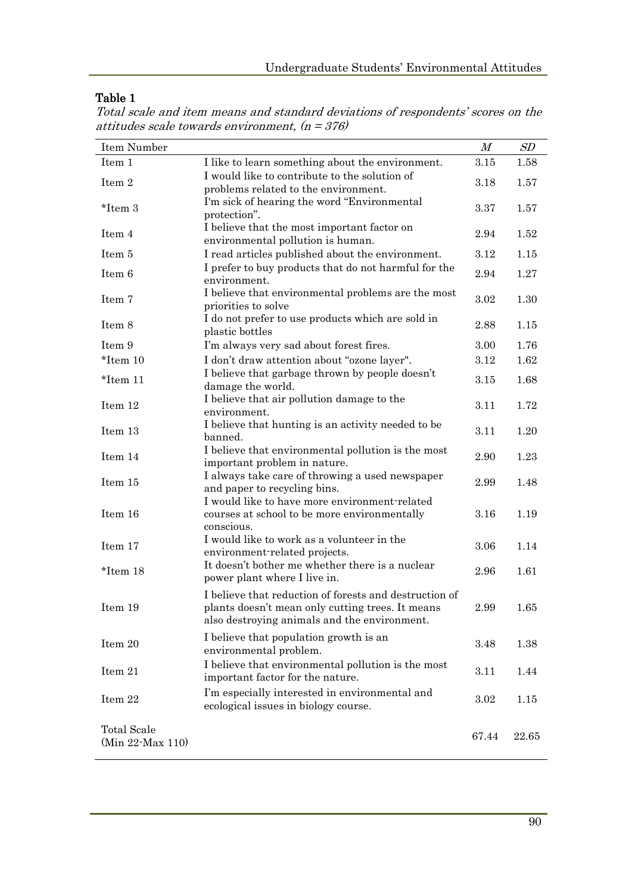## Table 1

| Total scale and item means and standard deviations of respondents' scores on the |  |  |  |
|----------------------------------------------------------------------------------|--|--|--|
| attitudes scale towards environment, $(n = 376)$                                 |  |  |  |

| Item Number                            |                                                                                                                                                            | M     | SD    |
|----------------------------------------|------------------------------------------------------------------------------------------------------------------------------------------------------------|-------|-------|
| Item 1                                 | I like to learn something about the environment.                                                                                                           | 3.15  | 1.58  |
| Item 2                                 | I would like to contribute to the solution of<br>problems related to the environment.                                                                      | 3.18  | 1.57  |
| *Item 3                                | I'm sick of hearing the word "Environmental"<br>protection".                                                                                               | 3.37  | 1.57  |
| Item 4                                 | I believe that the most important factor on<br>environmental pollution is human.                                                                           | 2.94  | 1.52  |
| Item 5                                 | I read articles published about the environment.                                                                                                           | 3.12  | 1.15  |
| Item 6                                 | I prefer to buy products that do not harmful for the<br>environment.                                                                                       | 2.94  | 1.27  |
| Item 7                                 | I believe that environmental problems are the most<br>priorities to solve                                                                                  | 3.02  | 1.30  |
| Item 8                                 | I do not prefer to use products which are sold in<br>plastic bottles                                                                                       | 2.88  | 1.15  |
| Item 9                                 | I'm always very sad about forest fires.                                                                                                                    | 3.00  | 1.76  |
| $*$ Item 10                            | I don't draw attention about "ozone layer".                                                                                                                | 3.12  | 1.62  |
| *Item 11                               | I believe that garbage thrown by people doesn't<br>damage the world.                                                                                       | 3.15  | 1.68  |
| Item 12                                | I believe that air pollution damage to the<br>environment.                                                                                                 | 3.11  | 1.72  |
| Item 13                                | I believe that hunting is an activity needed to be<br>banned.                                                                                              | 3.11  | 1.20  |
| Item 14                                | I believe that environmental pollution is the most<br>important problem in nature.                                                                         | 2.90  | 1.23  |
| Item 15                                | I always take care of throwing a used newspaper<br>and paper to recycling bins.                                                                            | 2.99  | 1.48  |
| Item 16                                | I would like to have more environment-related<br>courses at school to be more environmentally<br>conscious.                                                | 3.16  | 1.19  |
| Item 17                                | I would like to work as a volunteer in the<br>environment-related projects.                                                                                | 3.06  | 1.14  |
| *Item 18                               | It doesn't bother me whether there is a nuclear<br>power plant where I live in.                                                                            | 2.96  | 1.61  |
| Item 19                                | I believe that reduction of forests and destruction of<br>plants doesn't mean only cutting trees. It means<br>also destroying animals and the environment. | 2.99  | 1.65  |
| Item 20                                | I believe that population growth is an<br>environmental problem.                                                                                           | 3.48  | 1.38  |
| Item 21                                | I believe that environmental pollution is the most<br>important factor for the nature.                                                                     | 3.11  | 1.44  |
| Item 22                                | I'm especially interested in environmental and<br>ecological issues in biology course.                                                                     | 3.02  | 1.15  |
| <b>Total Scale</b><br>(Min 22-Max 110) |                                                                                                                                                            | 67.44 | 22.65 |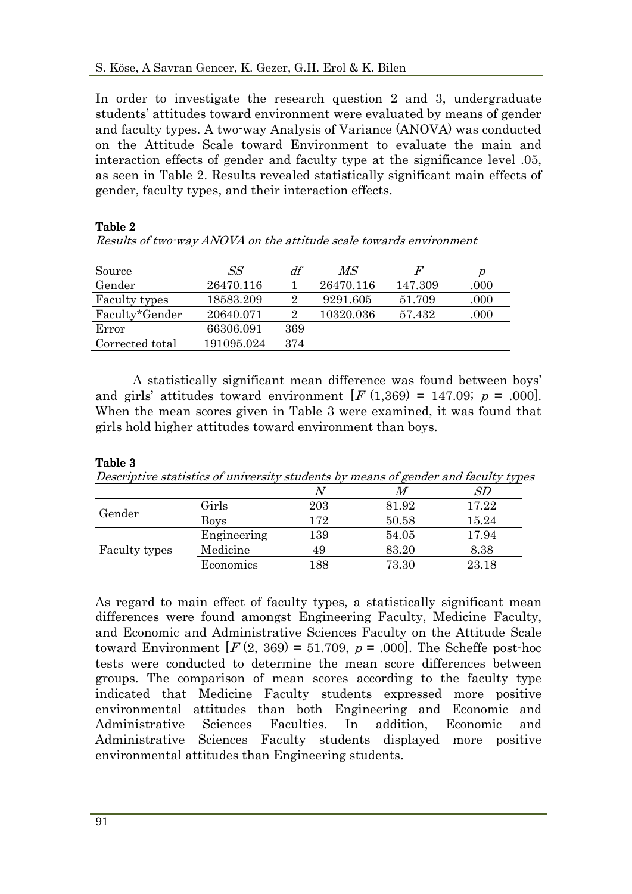In order to investigate the research question 2 and 3, undergraduate students' attitudes toward environment were evaluated by means of gender and faculty types. A two-way Analysis of Variance (ANOVA) was conducted on the Attitude Scale toward Environment to evaluate the main and interaction effects of gender and faculty type at the significance level .05, as seen in Table 2. Results revealed statistically significant main effects of gender, faculty types, and their interaction effects.

#### Table 2

Results of two-way ANOVA on the attitude scale towards environment

| Source          | SS         | df             | $\mathit{MS}$ | F       |      |
|-----------------|------------|----------------|---------------|---------|------|
| Gender          | 26470.116  |                | 26470.116     | 147.309 | .000 |
| Faculty types   | 18583.209  | $\overline{2}$ | 9291.605      | 51.709  | .000 |
| Faculty*Gender  | 20640.071  | $\overline{2}$ | 10320.036     | 57.432  | .000 |
| Error           | 66306.091  | 369            |               |         |      |
| Corrected total | 191095.024 | 374            |               |         |      |

A statistically significant mean difference was found between boys' and girls' attitudes toward environment  $[F(1,369) = 147.09; p = .000]$ . When the mean scores given in Table 3 were examined, it was found that girls hold higher attitudes toward environment than boys.

#### Table 3

| Descriptive statistics of university students by means of gender and faculty types |  |  |
|------------------------------------------------------------------------------------|--|--|
|                                                                                    |  |  |

|               |             |     |       | SD    |
|---------------|-------------|-----|-------|-------|
| Gender        | Girls       | 203 | 81.92 | 17.22 |
|               | <b>Boys</b> | 172 | 50.58 | 15.24 |
| Faculty types | Engineering | 139 | 54.05 | 17.94 |
|               | Medicine    | 49  | 83.20 | 8.38  |
|               | Economics   | 188 | 73.30 | 23.18 |

As regard to main effect of faculty types, a statistically significant mean differences were found amongst Engineering Faculty, Medicine Faculty, and Economic and Administrative Sciences Faculty on the Attitude Scale toward Environment  $[F(2, 369) = 51.709, p = .000]$ . The Scheffe post-hoc tests were conducted to determine the mean score differences between groups. The comparison of mean scores according to the faculty type indicated that Medicine Faculty students expressed more positive environmental attitudes than both Engineering and Economic and Administrative Sciences Faculties. In addition, Economic and Administrative Sciences Faculty students displayed more positive environmental attitudes than Engineering students.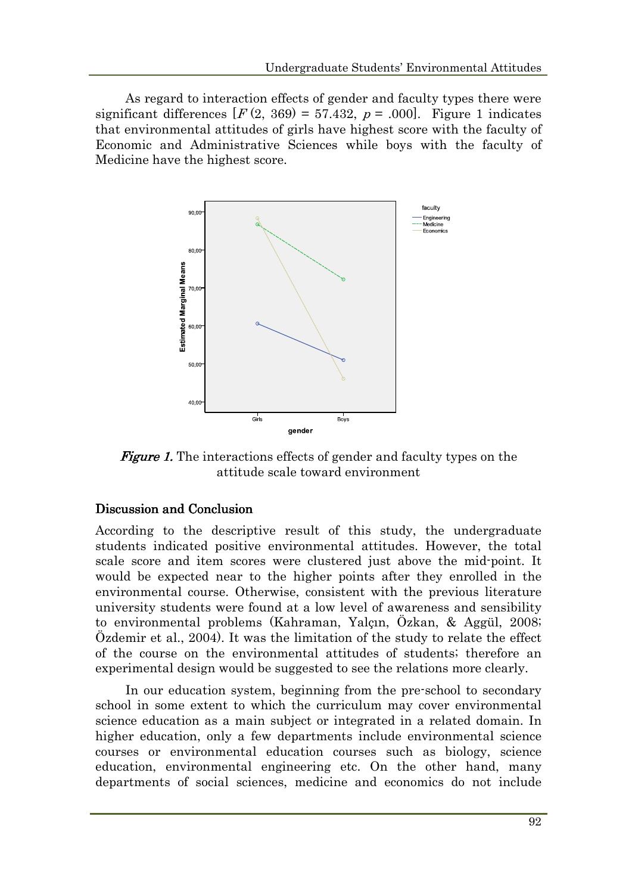As regard to interaction effects of gender and faculty types there were significant differences  $[F(2, 369) = 57.432, p = .000]$ . Figure 1 indicates that environmental attitudes of girls have highest score with the faculty of Economic and Administrative Sciences while boys with the faculty of Medicine have the highest score.



**Figure 1.** The interactions effects of gender and faculty types on the attitude scale toward environment

#### Discussion and Conclusion

According to the descriptive result of this study, the undergraduate students indicated positive environmental attitudes. However, the total scale score and item scores were clustered just above the mid-point. It would be expected near to the higher points after they enrolled in the environmental course. Otherwise, consistent with the previous literature university students were found at a low level of awareness and sensibility to environmental problems (Kahraman, Yalçın, Özkan, & Aggül, 2008; Özdemir et al., 2004). It was the limitation of the study to relate the effect of the course on the environmental attitudes of students; therefore an experimental design would be suggested to see the relations more clearly.

In our education system, beginning from the pre-school to secondary school in some extent to which the curriculum may cover environmental science education as a main subject or integrated in a related domain. In higher education, only a few departments include environmental science courses or environmental education courses such as biology, science education, environmental engineering etc. On the other hand, many departments of social sciences, medicine and economics do not include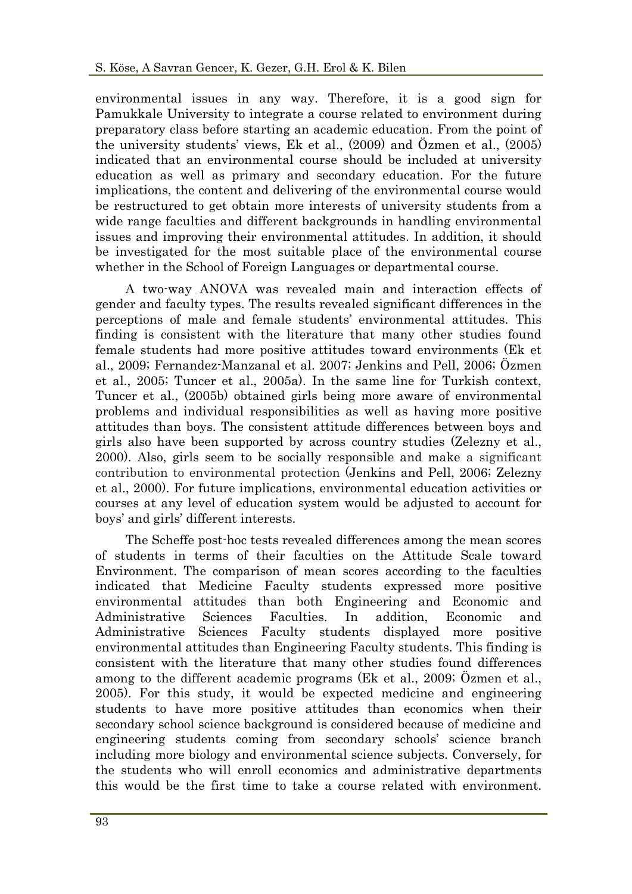environmental issues in any way. Therefore, it is a good sign for Pamukkale University to integrate a course related to environment during preparatory class before starting an academic education. From the point of the university students' views, Ek et al., (2009) and Özmen et al., (2005) indicated that an environmental course should be included at university education as well as primary and secondary education. For the future implications, the content and delivering of the environmental course would be restructured to get obtain more interests of university students from a wide range faculties and different backgrounds in handling environmental issues and improving their environmental attitudes. In addition, it should be investigated for the most suitable place of the environmental course whether in the School of Foreign Languages or departmental course.

A two-way ANOVA was revealed main and interaction effects of gender and faculty types. The results revealed significant differences in the perceptions of male and female students' environmental attitudes. This finding is consistent with the literature that many other studies found female students had more positive attitudes toward environments (Ek et al., 2009; Fernandez-Manzanal et al. 2007; Jenkins and Pell, 2006; Özmen et al., 2005; Tuncer et al., 2005a). In the same line for Turkish context, Tuncer et al., (2005b) obtained girls being more aware of environmental problems and individual responsibilities as well as having more positive attitudes than boys. The consistent attitude differences between boys and girls also have been supported by across country studies (Zelezny et al., 2000). Also, girls seem to be socially responsible and make a significant contribution to environmental protection (Jenkins and Pell, 2006; Zelezny et al., 2000). For future implications, environmental education activities or courses at any level of education system would be adjusted to account for boys' and girls' different interests.

The Scheffe post-hoc tests revealed differences among the mean scores of students in terms of their faculties on the Attitude Scale toward Environment. The comparison of mean scores according to the faculties indicated that Medicine Faculty students expressed more positive environmental attitudes than both Engineering and Economic and Administrative Sciences Faculties. In addition, Economic and Administrative Sciences Faculty students displayed more positive environmental attitudes than Engineering Faculty students. This finding is consistent with the literature that many other studies found differences among to the different academic programs (Ek et al., 2009; Özmen et al., 2005). For this study, it would be expected medicine and engineering students to have more positive attitudes than economics when their secondary school science background is considered because of medicine and engineering students coming from secondary schools' science branch including more biology and environmental science subjects. Conversely, for the students who will enroll economics and administrative departments this would be the first time to take a course related with environment.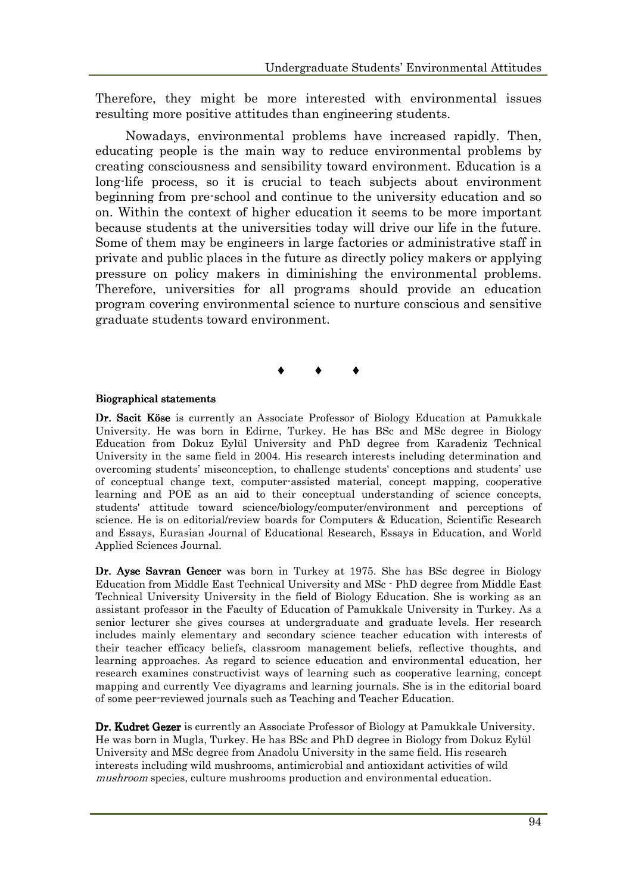Therefore, they might be more interested with environmental issues resulting more positive attitudes than engineering students.

Nowadays, environmental problems have increased rapidly. Then, educating people is the main way to reduce environmental problems by creating consciousness and sensibility toward environment. Education is a long-life process, so it is crucial to teach subjects about environment beginning from pre-school and continue to the university education and so on. Within the context of higher education it seems to be more important because students at the universities today will drive our life in the future. Some of them may be engineers in large factories or administrative staff in private and public places in the future as directly policy makers or applying pressure on policy makers in diminishing the environmental problems. Therefore, universities for all programs should provide an education program covering environmental science to nurture conscious and sensitive graduate students toward environment.

#### $\bullet$   $\bullet$   $\bullet$

#### Biographical statements

Dr. Sacit Köse is currently an Associate Professor of Biology Education at Pamukkale University. He was born in Edirne, Turkey. He has BSc and MSc degree in Biology Education from Dokuz Eylül University and PhD degree from Karadeniz Technical University in the same field in 2004. His research interests including determination and overcoming students' misconception, to challenge students' conceptions and students' use of conceptual change text, computer-assisted material, concept mapping, cooperative learning and POE as an aid to their conceptual understanding of science concepts, students' attitude toward science/biology/computer/environment and perceptions of science. He is on editorial/review boards for Computers & Education, Scientific Research and Essays, Eurasian Journal of Educational Research, Essays in Education, and World Applied Sciences Journal.

Dr. Ayse Savran Gencer was born in Turkey at 1975. She has BSc degree in Biology Education from Middle East Technical University and MSc - PhD degree from Middle East Technical University University in the field of Biology Education. She is working as an assistant professor in the Faculty of Education of Pamukkale University in Turkey. As a senior lecturer she gives courses at undergraduate and graduate levels. Her research includes mainly elementary and secondary science teacher education with interests of their teacher efficacy beliefs, classroom management beliefs, reflective thoughts, and learning approaches. As regard to science education and environmental education, her research examines constructivist ways of learning such as cooperative learning, concept mapping and currently Vee diyagrams and learning journals. She is in the editorial board of some peer-reviewed journals such as Teaching and Teacher Education.

Dr. Kudret Gezer is currently an Associate Professor of Biology at Pamukkale University. He was born in Mugla, Turkey. He has BSc and PhD degree in Biology from Dokuz Eylül University and MSc degree from Anadolu University in the same field. His research interests including wild mushrooms, antimicrobial and antioxidant activities of wild mushroom species, culture mushrooms production and environmental education.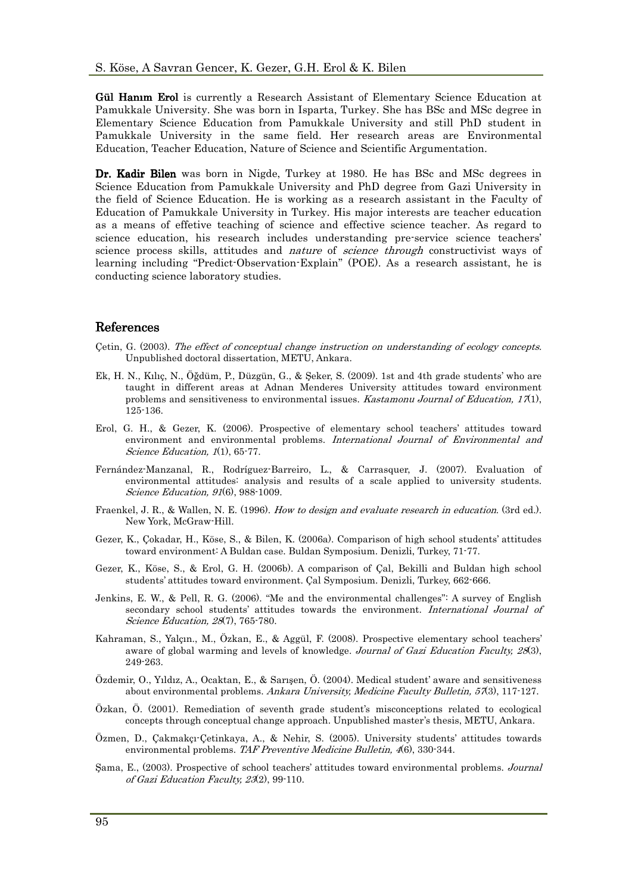Gül Hanim Erol is currently a Research Assistant of Elementary Science Education at Pamukkale University. She was born in Isparta, Turkey. She has BSc and MSc degree in Elementary Science Education from Pamukkale University and still PhD student in Pamukkale University in the same field. Her research areas are Environmental Education, Teacher Education, Nature of Science and Scientific Argumentation.

Dr. Kadir Bilen was born in Nigde, Turkey at 1980. He has BSc and MSc degrees in Science Education from Pamukkale University and PhD degree from Gazi University in the field of Science Education. He is working as a research assistant in the Faculty of Education of Pamukkale University in Turkey. His major interests are teacher education as a means of effetive teaching of science and effective science teacher. As regard to science education, his research includes understanding pre-service science teachers' science process skills, attitudes and *nature* of *science through* constructivist ways of learning including "Predict-Observation-Explain" (POE). As a research assistant, he is conducting science laboratory studies.

#### **References**

- Çetin, G. (2003). The effect of conceptual change instruction on understanding of ecology concepts. Unpublished doctoral dissertation, METU, Ankara.
- Ek, H. N., Kılıç, N., Öğdüm, P., Düzgün, G., & Şeker, S. (2009). 1st and 4th grade students' who are taught in different areas at Adnan Menderes University attitudes toward environment problems and sensitiveness to environmental issues. *Kastamonu Journal of Education*,  $17(1)$ , 125-136.
- Erol, G. H., & Gezer, K. (2006). Prospective of elementary school teachers' attitudes toward environment and environmental problems. International Journal of Environmental and Science Education, 1(1), 65-77.
- Fernández-Manzanal, R., Rodríguez-Barreiro, L., & Carrasquer, J. (2007). Evaluation of environmental attitudes: analysis and results of a scale applied to university students. Science Education, 91(6), 988-1009.
- Fraenkel, J. R., & Wallen, N. E. (1996). How to design and evaluate research in education. (3rd ed.). New York, McGraw-Hill.
- Gezer, K., Çokadar, H., Köse, S., & Bilen, K. (2006a). Comparison of high school students' attitudes toward environment: A Buldan case. Buldan Symposium. Denizli, Turkey, 71-77.
- Gezer, K., Köse, S., & Erol, G. H. (2006b). A comparison of Çal, Bekilli and Buldan high school students' attitudes toward environment. Çal Symposium. Denizli, Turkey, 662-666.
- Jenkins, E. W., & Pell, R. G. (2006). "Me and the environmental challenges": A survey of English secondary school students' attitudes towards the environment. International Journal of Science Education, 28(7), 765-780.
- Kahraman, S., Yalçın., M., Özkan, E., & Aggül, F. (2008). Prospective elementary school teachers' aware of global warming and levels of knowledge. Journal of Gazi Education Faculty, 28(3), 249-263.
- Özdemir, O., Yıldız, A., Ocaktan, E., & Sarışen, Ö. (2004). Medical student' aware and sensitiveness about environmental problems. Ankara University, Medicine Faculty Bulletin, 57(3), 117-127.
- Özkan, Ö. (2001). Remediation of seventh grade student's misconceptions related to ecological concepts through conceptual change approach. Unpublished master's thesis, METU, Ankara.
- Özmen, D., Çakmakçı-Çetinkaya, A., & Nehir, S. (2005). University students' attitudes towards environmental problems. TAF Preventive Medicine Bulletin, 4(6), 330-344.
- Şama, E., (2003). Prospective of school teachers' attitudes toward environmental problems. Journal of Gazi Education Faculty, 23(2), 99-110.